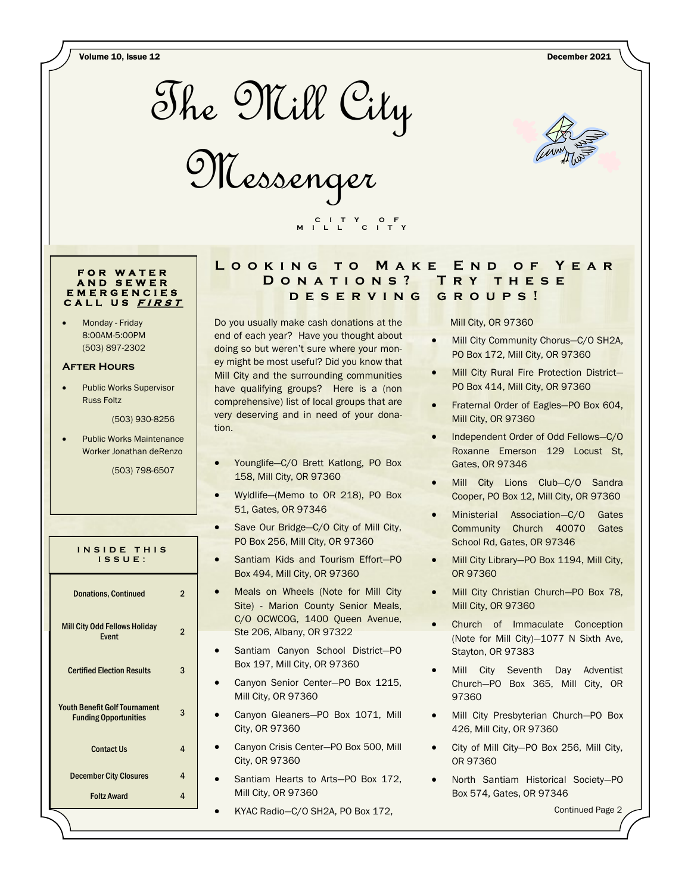Volume 10, Issue 12 December 2021







#### **F O R W A T E R A N D S E W E R E M E R G E N C I E S C A L L U S <sup>F</sup> <sup>I</sup> <sup>R</sup> <sup>S</sup> <sup>T</sup>**

Monday - Friday 8:00AM-5:00PM (503) 897-2302

#### **After Hours**

• Public Works Supervisor Russ Foltz

(503) 930-8256

• Public Works Maintenance Worker Jonathan deRenzo

(503) 798-6507

| INSIDE THIS<br>$IS$ SUE:                                             |                |
|----------------------------------------------------------------------|----------------|
| <b>Donations, Continued</b>                                          | 2              |
| <b>Mill City Odd Fellows Holiday</b><br><b>Fvent</b>                 | $\mathfrak{p}$ |
| <b>Certified Election Results</b>                                    | 3              |
| <b>Youth Benefit Golf Tournament</b><br><b>Funding Opportunities</b> | 3              |
| <b>Contact Us</b>                                                    | 4              |
| <b>December City Closures</b>                                        | 4              |
| <b>Foltz Award</b>                                                   | 4              |

#### **LOOKING TO MAKE END OF YEAR D o n a t i o n s ? T r y t h e s e d e s e r v i n g g r o u p s !**

Do you usually make cash donations at the end of each year? Have you thought about doing so but weren't sure where your money might be most useful? Did you know that Mill City and the surrounding communities have qualifying groups? Here is a (non comprehensive) list of local groups that are very deserving and in need of your donation.

 **C I T Y O F M I L L C I T Y**

- Younglife—C/O Brett Katlong, PO Box 158, Mill City, OR 97360
- Wyldlife—(Memo to OR 218), PO Box 51, Gates, OR 97346
- Save Our Bridge-C/O City of Mill City, PO Box 256, Mill City, OR 97360
- Santiam Kids and Tourism Effort-PO Box 494, Mill City, OR 97360
- Meals on Wheels (Note for Mill City Site) - Marion County Senior Meals, C/O OCWCOG, 1400 Queen Avenue, Ste 206, Albany, OR 97322
- Santiam Canyon School District-PO Box 197, Mill City, OR 97360
- Canyon Senior Center—PO Box 1215, Mill City, OR 97360
- Canyon Gleaners—PO Box 1071, Mill City, OR 97360
- Canyon Crisis Center—PO Box 500, Mill City, OR 97360
	- Santiam Hearts to Arts—PO Box 172, Mill City, OR 97360
- KYAC Radio—C/O SH2A, PO Box 172,

Mill City, OR 97360

- Mill City Community Chorus—C/O SH2A, PO Box 172, Mill City, OR 97360
- Mill City Rural Fire Protection District— PO Box 414, Mill City, OR 97360
- Fraternal Order of Eagles—PO Box 604, Mill City, OR 97360
- Independent Order of Odd Fellows—C/O Roxanne Emerson 129 Locust St, Gates, OR 97346
- Mill City Lions Club-C/O Sandra Cooper, PO Box 12, Mill City, OR 97360
- Ministerial Association—C/O Gates Community Church 40070 Gates School Rd, Gates, OR 97346
- Mill City Library-PO Box 1194, Mill City, OR 97360
- Mill City Christian Church—PO Box 78, Mill City, OR 97360
- Church of Immaculate Conception (Note for Mill City)—1077 N Sixth Ave, Stayton, OR 97383
- Mill City Seventh Day Adventist Church—PO Box 365, Mill City, OR 97360
- Mill City Presbyterian Church—PO Box 426, Mill City, OR 97360
- City of Mill City—PO Box 256, Mill City, OR 97360
- North Santiam Historical Society—PO Box 574, Gates, OR 97346

Continued Page 2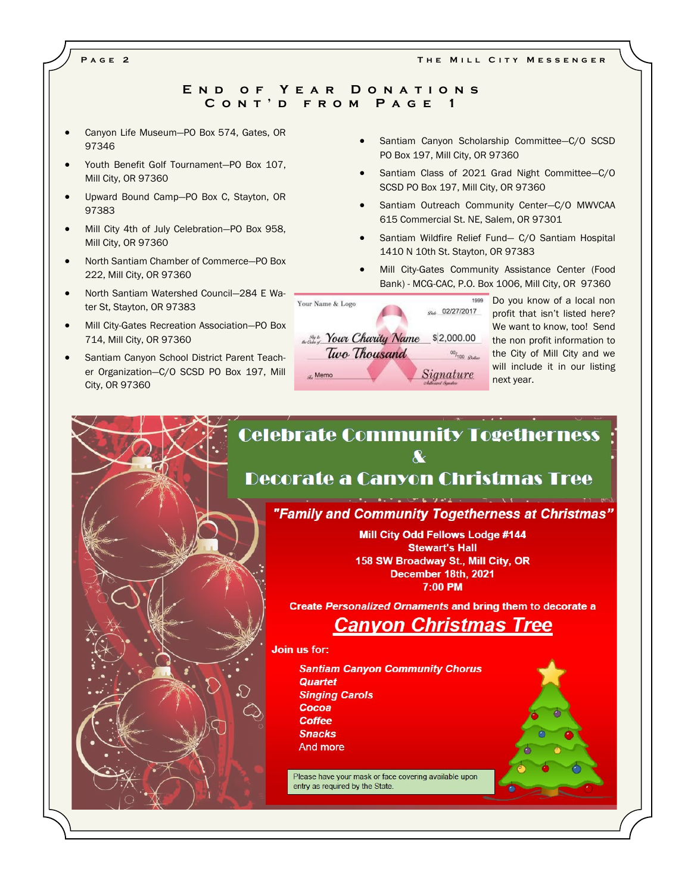#### **E n d o f Y e a r D o n a t i o n s C o n t ' d f r o m P a g e 1**

- Canyon Life Museum—PO Box 574, Gates, OR 97346
- Youth Benefit Golf Tournament—PO Box 107, Mill City, OR 97360
- Upward Bound Camp—PO Box C, Stayton, OR 97383
- Mill City 4th of July Celebration—PO Box 958, Mill City, OR 97360
- North Santiam Chamber of Commerce—PO Box 222, Mill City, OR 97360
- North Santiam Watershed Council—284 E Water St, Stayton, OR 97383
- Mill City-Gates Recreation Association—PO Box 714, Mill City, OR 97360
- Santiam Canyon School District Parent Teacher Organization—C/O SCSD PO Box 197, Mill City, OR 97360
- Santiam Canyon Scholarship Committee-C/O SCSD PO Box 197, Mill City, OR 97360
- Santiam Class of 2021 Grad Night Committee—C/O SCSD PO Box 197, Mill City, OR 97360
- Santiam Outreach Community Center-C/O MWVCAA 615 Commercial St. NE, Salem, OR 97301
- Santiam Wildfire Relief Fund- C/O Santiam Hospital 1410 N 10th St. Stayton, OR 97383
- Mill City-Gates Community Assistance Center (Food Bank) - MCG-CAC, P.O. Box 1006, Mill City, OR 97360



1999 Do you know of a local non gas 02/27/2017 profit that isn't listed here? We want to know, too! Send the non profit information to 00/<sub>100 globs</sub> the City of Mill City and we will include it in our listing next year.

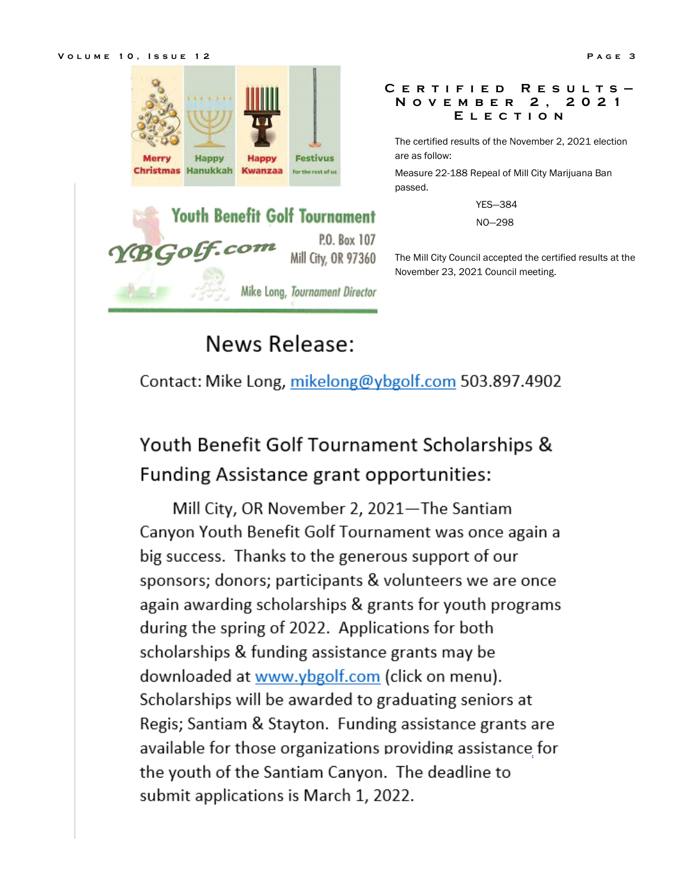



#### **C e r t i f i e d R e s u l t s — N o v e m b e r 2 , 2 0 2 1 E l e c t i o n**

The certified results of the November 2, 2021 election are as follow:

Measure 22-188 Repeal of Mill City Marijuana Ban passed.

YES—384

NO—298

The Mill City Council accepted the certified results at the November 23, 2021 Council meeting.

# **News Release:**

Contact: Mike Long, mikelong@ybgolf.com 503.897.4902

## Youth Benefit Golf Tournament Scholarships & Funding Assistance grant opportunities:

Mill City, OR November 2, 2021-The Santiam Canyon Youth Benefit Golf Tournament was once again a big success. Thanks to the generous support of our sponsors; donors; participants & volunteers we are once again awarding scholarships & grants for youth programs during the spring of 2022. Applications for both scholarships & funding assistance grants may be downloaded at www.ybgolf.com (click on menu). Scholarships will be awarded to graduating seniors at Regis; Santiam & Stayton. Funding assistance grants are available for those organizations providing assistance for the youth of the Santiam Canyon. The deadline to submit applications is March 1, 2022.